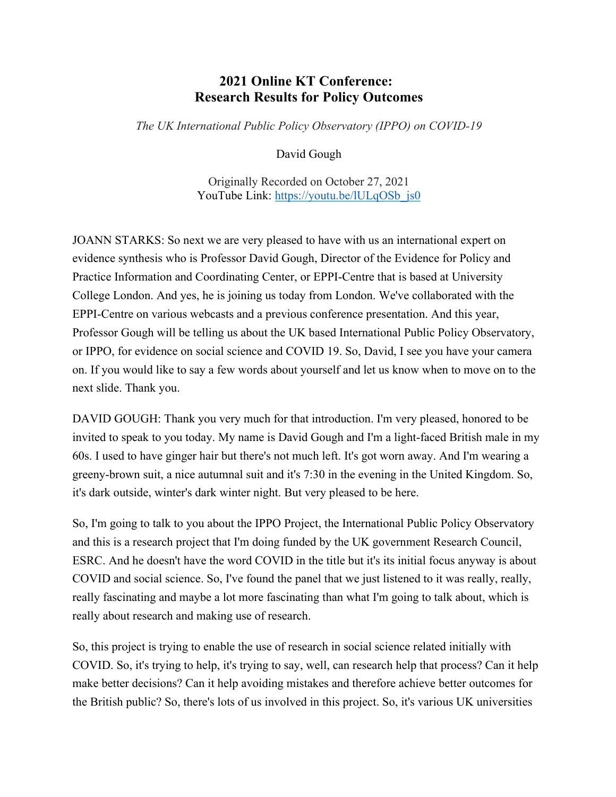## **2021 Online KT Conference: Research Results for Policy Outcomes**

*The UK International Public Policy Observatory (IPPO) on COVID-19*

David Gough

Originally Recorded on October 27, 2021 YouTube Link: [https://youtu.be/lULqOSb\\_js0](https://youtu.be/lULqOSb_js0)

JOANN STARKS: So next we are very pleased to have with us an international expert on evidence synthesis who is Professor David Gough, Director of the Evidence for Policy and Practice Information and Coordinating Center, or EPPI-Centre that is based at University College London. And yes, he is joining us today from London. We've collaborated with the EPPI-Centre on various webcasts and a previous conference presentation. And this year, Professor Gough will be telling us about the UK based International Public Policy Observatory, or IPPO, for evidence on social science and COVID 19. So, David, I see you have your camera on. If you would like to say a few words about yourself and let us know when to move on to the next slide. Thank you.

DAVID GOUGH: Thank you very much for that introduction. I'm very pleased, honored to be invited to speak to you today. My name is David Gough and I'm a light-faced British male in my 60s. I used to have ginger hair but there's not much left. It's got worn away. And I'm wearing a greeny-brown suit, a nice autumnal suit and it's 7:30 in the evening in the United Kingdom. So, it's dark outside, winter's dark winter night. But very pleased to be here.

So, I'm going to talk to you about the IPPO Project, the International Public Policy Observatory and this is a research project that I'm doing funded by the UK government Research Council, ESRC. And he doesn't have the word COVID in the title but it's its initial focus anyway is about COVID and social science. So, I've found the panel that we just listened to it was really, really, really fascinating and maybe a lot more fascinating than what I'm going to talk about, which is really about research and making use of research.

So, this project is trying to enable the use of research in social science related initially with COVID. So, it's trying to help, it's trying to say, well, can research help that process? Can it help make better decisions? Can it help avoiding mistakes and therefore achieve better outcomes for the British public? So, there's lots of us involved in this project. So, it's various UK universities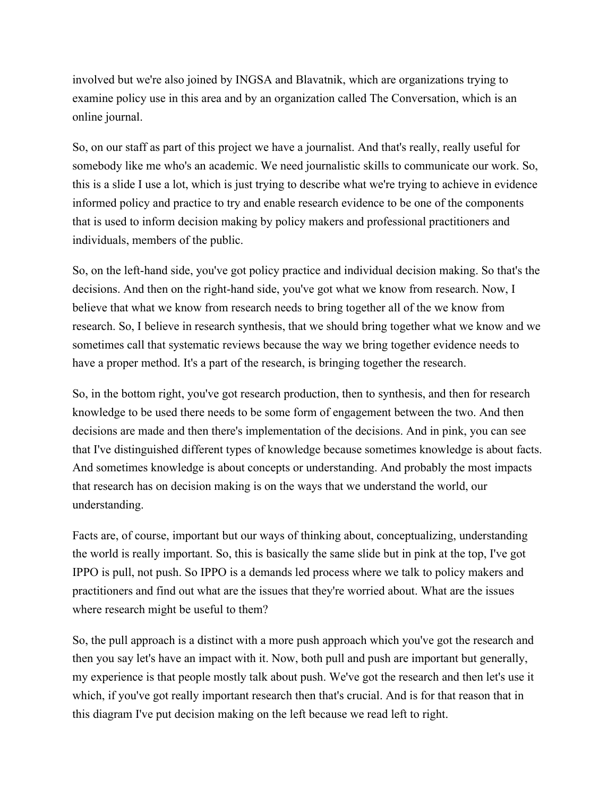involved but we're also joined by INGSA and Blavatnik, which are organizations trying to examine policy use in this area and by an organization called The Conversation, which is an online journal.

So, on our staff as part of this project we have a journalist. And that's really, really useful for somebody like me who's an academic. We need journalistic skills to communicate our work. So, this is a slide I use a lot, which is just trying to describe what we're trying to achieve in evidence informed policy and practice to try and enable research evidence to be one of the components that is used to inform decision making by policy makers and professional practitioners and individuals, members of the public.

So, on the left-hand side, you've got policy practice and individual decision making. So that's the decisions. And then on the right-hand side, you've got what we know from research. Now, I believe that what we know from research needs to bring together all of the we know from research. So, I believe in research synthesis, that we should bring together what we know and we sometimes call that systematic reviews because the way we bring together evidence needs to have a proper method. It's a part of the research, is bringing together the research.

So, in the bottom right, you've got research production, then to synthesis, and then for research knowledge to be used there needs to be some form of engagement between the two. And then decisions are made and then there's implementation of the decisions. And in pink, you can see that I've distinguished different types of knowledge because sometimes knowledge is about facts. And sometimes knowledge is about concepts or understanding. And probably the most impacts that research has on decision making is on the ways that we understand the world, our understanding.

Facts are, of course, important but our ways of thinking about, conceptualizing, understanding the world is really important. So, this is basically the same slide but in pink at the top, I've got IPPO is pull, not push. So IPPO is a demands led process where we talk to policy makers and practitioners and find out what are the issues that they're worried about. What are the issues where research might be useful to them?

So, the pull approach is a distinct with a more push approach which you've got the research and then you say let's have an impact with it. Now, both pull and push are important but generally, my experience is that people mostly talk about push. We've got the research and then let's use it which, if you've got really important research then that's crucial. And is for that reason that in this diagram I've put decision making on the left because we read left to right.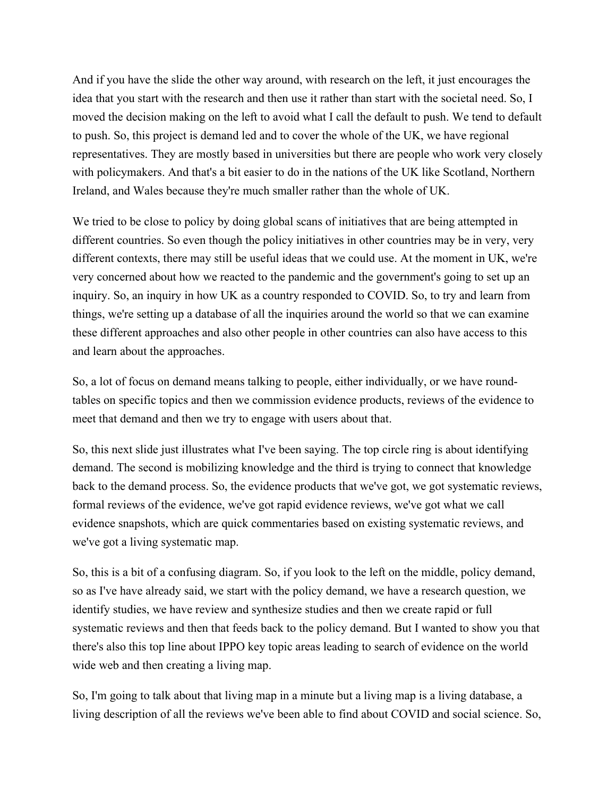And if you have the slide the other way around, with research on the left, it just encourages the idea that you start with the research and then use it rather than start with the societal need. So, I moved the decision making on the left to avoid what I call the default to push. We tend to default to push. So, this project is demand led and to cover the whole of the UK, we have regional representatives. They are mostly based in universities but there are people who work very closely with policymakers. And that's a bit easier to do in the nations of the UK like Scotland, Northern Ireland, and Wales because they're much smaller rather than the whole of UK.

We tried to be close to policy by doing global scans of initiatives that are being attempted in different countries. So even though the policy initiatives in other countries may be in very, very different contexts, there may still be useful ideas that we could use. At the moment in UK, we're very concerned about how we reacted to the pandemic and the government's going to set up an inquiry. So, an inquiry in how UK as a country responded to COVID. So, to try and learn from things, we're setting up a database of all the inquiries around the world so that we can examine these different approaches and also other people in other countries can also have access to this and learn about the approaches.

So, a lot of focus on demand means talking to people, either individually, or we have roundtables on specific topics and then we commission evidence products, reviews of the evidence to meet that demand and then we try to engage with users about that.

So, this next slide just illustrates what I've been saying. The top circle ring is about identifying demand. The second is mobilizing knowledge and the third is trying to connect that knowledge back to the demand process. So, the evidence products that we've got, we got systematic reviews, formal reviews of the evidence, we've got rapid evidence reviews, we've got what we call evidence snapshots, which are quick commentaries based on existing systematic reviews, and we've got a living systematic map.

So, this is a bit of a confusing diagram. So, if you look to the left on the middle, policy demand, so as I've have already said, we start with the policy demand, we have a research question, we identify studies, we have review and synthesize studies and then we create rapid or full systematic reviews and then that feeds back to the policy demand. But I wanted to show you that there's also this top line about IPPO key topic areas leading to search of evidence on the world wide web and then creating a living map.

So, I'm going to talk about that living map in a minute but a living map is a living database, a living description of all the reviews we've been able to find about COVID and social science. So,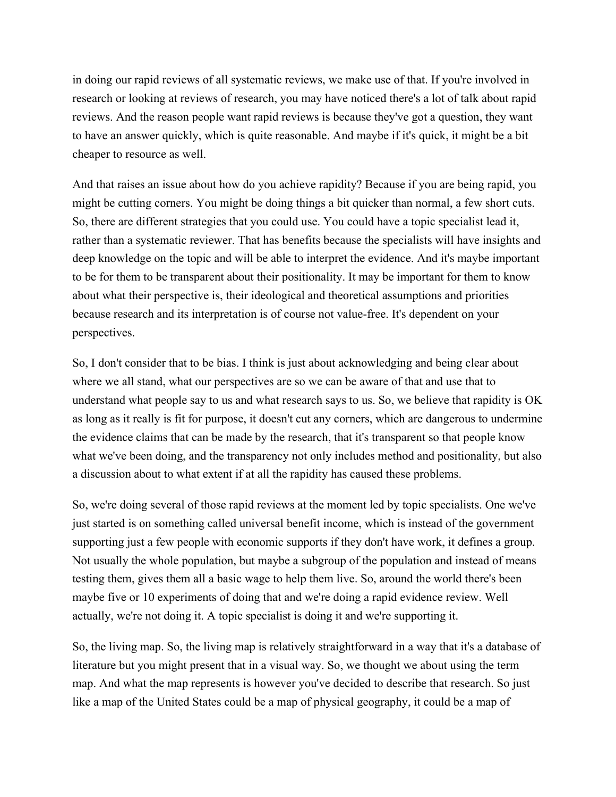in doing our rapid reviews of all systematic reviews, we make use of that. If you're involved in research or looking at reviews of research, you may have noticed there's a lot of talk about rapid reviews. And the reason people want rapid reviews is because they've got a question, they want to have an answer quickly, which is quite reasonable. And maybe if it's quick, it might be a bit cheaper to resource as well.

And that raises an issue about how do you achieve rapidity? Because if you are being rapid, you might be cutting corners. You might be doing things a bit quicker than normal, a few short cuts. So, there are different strategies that you could use. You could have a topic specialist lead it, rather than a systematic reviewer. That has benefits because the specialists will have insights and deep knowledge on the topic and will be able to interpret the evidence. And it's maybe important to be for them to be transparent about their positionality. It may be important for them to know about what their perspective is, their ideological and theoretical assumptions and priorities because research and its interpretation is of course not value-free. It's dependent on your perspectives.

So, I don't consider that to be bias. I think is just about acknowledging and being clear about where we all stand, what our perspectives are so we can be aware of that and use that to understand what people say to us and what research says to us. So, we believe that rapidity is OK as long as it really is fit for purpose, it doesn't cut any corners, which are dangerous to undermine the evidence claims that can be made by the research, that it's transparent so that people know what we've been doing, and the transparency not only includes method and positionality, but also a discussion about to what extent if at all the rapidity has caused these problems.

So, we're doing several of those rapid reviews at the moment led by topic specialists. One we've just started is on something called universal benefit income, which is instead of the government supporting just a few people with economic supports if they don't have work, it defines a group. Not usually the whole population, but maybe a subgroup of the population and instead of means testing them, gives them all a basic wage to help them live. So, around the world there's been maybe five or 10 experiments of doing that and we're doing a rapid evidence review. Well actually, we're not doing it. A topic specialist is doing it and we're supporting it.

So, the living map. So, the living map is relatively straightforward in a way that it's a database of literature but you might present that in a visual way. So, we thought we about using the term map. And what the map represents is however you've decided to describe that research. So just like a map of the United States could be a map of physical geography, it could be a map of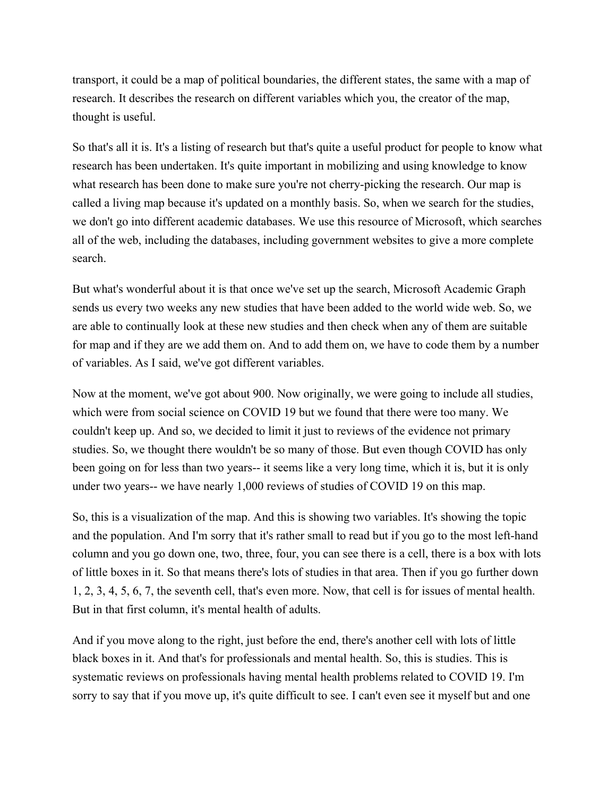transport, it could be a map of political boundaries, the different states, the same with a map of research. It describes the research on different variables which you, the creator of the map, thought is useful.

So that's all it is. It's a listing of research but that's quite a useful product for people to know what research has been undertaken. It's quite important in mobilizing and using knowledge to know what research has been done to make sure you're not cherry-picking the research. Our map is called a living map because it's updated on a monthly basis. So, when we search for the studies, we don't go into different academic databases. We use this resource of Microsoft, which searches all of the web, including the databases, including government websites to give a more complete search.

But what's wonderful about it is that once we've set up the search, Microsoft Academic Graph sends us every two weeks any new studies that have been added to the world wide web. So, we are able to continually look at these new studies and then check when any of them are suitable for map and if they are we add them on. And to add them on, we have to code them by a number of variables. As I said, we've got different variables.

Now at the moment, we've got about 900. Now originally, we were going to include all studies, which were from social science on COVID 19 but we found that there were too many. We couldn't keep up. And so, we decided to limit it just to reviews of the evidence not primary studies. So, we thought there wouldn't be so many of those. But even though COVID has only been going on for less than two years-- it seems like a very long time, which it is, but it is only under two years-- we have nearly 1,000 reviews of studies of COVID 19 on this map.

So, this is a visualization of the map. And this is showing two variables. It's showing the topic and the population. And I'm sorry that it's rather small to read but if you go to the most left-hand column and you go down one, two, three, four, you can see there is a cell, there is a box with lots of little boxes in it. So that means there's lots of studies in that area. Then if you go further down 1, 2, 3, 4, 5, 6, 7, the seventh cell, that's even more. Now, that cell is for issues of mental health. But in that first column, it's mental health of adults.

And if you move along to the right, just before the end, there's another cell with lots of little black boxes in it. And that's for professionals and mental health. So, this is studies. This is systematic reviews on professionals having mental health problems related to COVID 19. I'm sorry to say that if you move up, it's quite difficult to see. I can't even see it myself but and one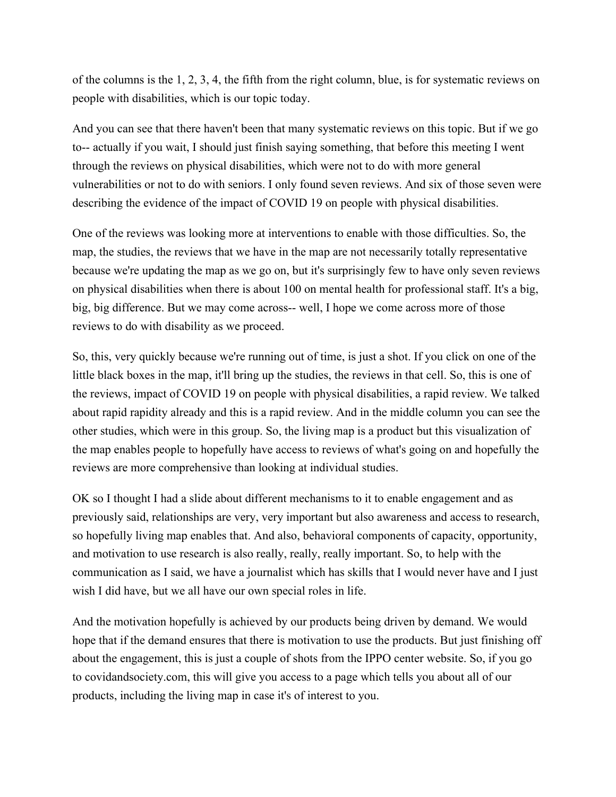of the columns is the 1, 2, 3, 4, the fifth from the right column, blue, is for systematic reviews on people with disabilities, which is our topic today.

And you can see that there haven't been that many systematic reviews on this topic. But if we go to-- actually if you wait, I should just finish saying something, that before this meeting I went through the reviews on physical disabilities, which were not to do with more general vulnerabilities or not to do with seniors. I only found seven reviews. And six of those seven were describing the evidence of the impact of COVID 19 on people with physical disabilities.

One of the reviews was looking more at interventions to enable with those difficulties. So, the map, the studies, the reviews that we have in the map are not necessarily totally representative because we're updating the map as we go on, but it's surprisingly few to have only seven reviews on physical disabilities when there is about 100 on mental health for professional staff. It's a big, big, big difference. But we may come across-- well, I hope we come across more of those reviews to do with disability as we proceed.

So, this, very quickly because we're running out of time, is just a shot. If you click on one of the little black boxes in the map, it'll bring up the studies, the reviews in that cell. So, this is one of the reviews, impact of COVID 19 on people with physical disabilities, a rapid review. We talked about rapid rapidity already and this is a rapid review. And in the middle column you can see the other studies, which were in this group. So, the living map is a product but this visualization of the map enables people to hopefully have access to reviews of what's going on and hopefully the reviews are more comprehensive than looking at individual studies.

OK so I thought I had a slide about different mechanisms to it to enable engagement and as previously said, relationships are very, very important but also awareness and access to research, so hopefully living map enables that. And also, behavioral components of capacity, opportunity, and motivation to use research is also really, really, really important. So, to help with the communication as I said, we have a journalist which has skills that I would never have and I just wish I did have, but we all have our own special roles in life.

And the motivation hopefully is achieved by our products being driven by demand. We would hope that if the demand ensures that there is motivation to use the products. But just finishing off about the engagement, this is just a couple of shots from the IPPO center website. So, if you go to covidandsociety.com, this will give you access to a page which tells you about all of our products, including the living map in case it's of interest to you.